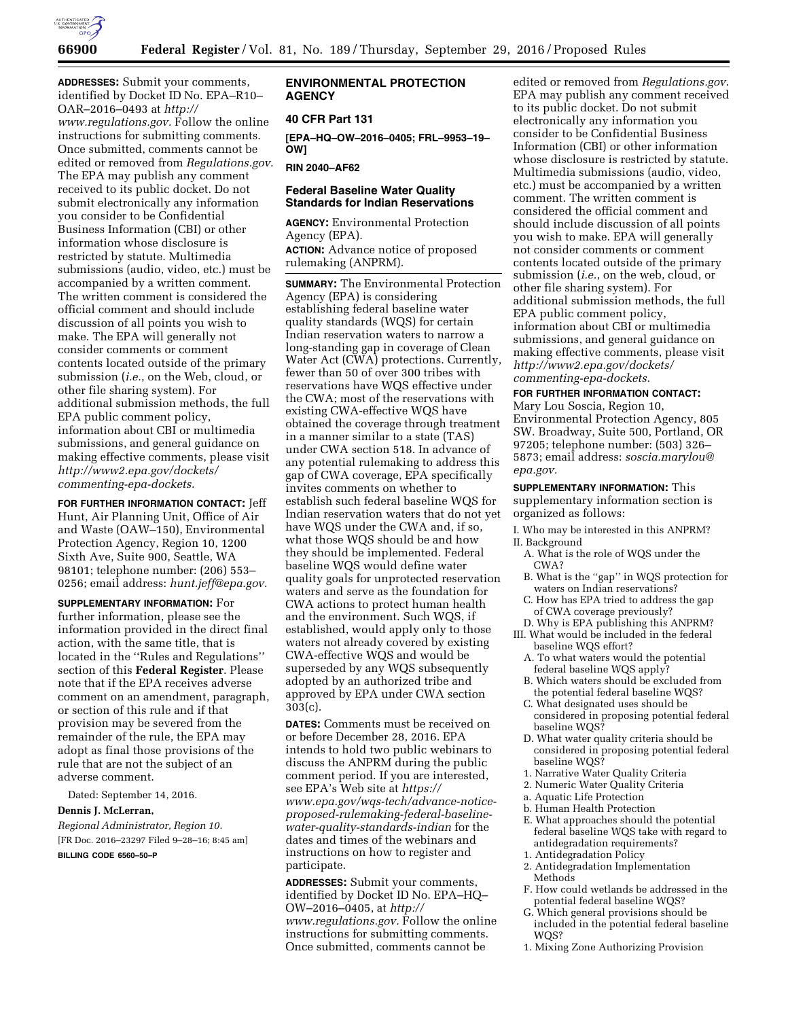

**ADDRESSES:** Submit your comments, identified by Docket ID No. EPA–R10– OAR–2016–0493 at *[http://](http://www.regulations.gov) [www.regulations.gov.](http://www.regulations.gov)* Follow the online instructions for submitting comments. Once submitted, comments cannot be edited or removed from *Regulations.gov*. The EPA may publish any comment received to its public docket. Do not submit electronically any information you consider to be Confidential Business Information (CBI) or other information whose disclosure is restricted by statute. Multimedia submissions (audio, video, etc.) must be accompanied by a written comment. The written comment is considered the official comment and should include discussion of all points you wish to make. The EPA will generally not consider comments or comment contents located outside of the primary submission (*i.e.*, on the Web, cloud, or other file sharing system). For additional submission methods, the full EPA public comment policy, information about CBI or multimedia submissions, and general guidance on making effective comments, please visit *[http://www2.epa.gov/dockets/](http://www2.epa.gov/dockets/commenting-epa-dockets)  [commenting-epa-dockets.](http://www2.epa.gov/dockets/commenting-epa-dockets)* 

**FOR FURTHER INFORMATION CONTACT:** Jeff Hunt, Air Planning Unit, Office of Air and Waste (OAW–150), Environmental Protection Agency, Region 10, 1200 Sixth Ave, Suite 900, Seattle, WA 98101; telephone number: (206) 553– 0256; email address: *[hunt.jeff@epa.gov.](mailto:hunt.jeff@epa.gov)* 

**SUPPLEMENTARY INFORMATION:** For further information, please see the information provided in the direct final action, with the same title, that is located in the ''Rules and Regulations'' section of this **Federal Register**. Please note that if the EPA receives adverse comment on an amendment, paragraph, or section of this rule and if that provision may be severed from the remainder of the rule, the EPA may adopt as final those provisions of the rule that are not the subject of an adverse comment.

Dated: September 14, 2016. **Dennis J. McLerran,**  *Regional Administrator, Region 10.*  [FR Doc. 2016–23297 Filed 9–28–16; 8:45 am] **BILLING CODE 6560–50–P** 

### **ENVIRONMENTAL PROTECTION AGENCY**

### **40 CFR Part 131**

**[EPA–HQ–OW–2016–0405; FRL–9953–19– OW]** 

**RIN 2040–AF62** 

# **Federal Baseline Water Quality Standards for Indian Reservations**

**AGENCY:** Environmental Protection Agency (EPA). **ACTION:** Advance notice of proposed rulemaking (ANPRM).

**SUMMARY:** The Environmental Protection Agency (EPA) is considering establishing federal baseline water quality standards (WQS) for certain Indian reservation waters to narrow a long-standing gap in coverage of Clean Water Act (CWA) protections. Currently, fewer than 50 of over 300 tribes with reservations have WQS effective under the CWA; most of the reservations with existing CWA-effective WQS have obtained the coverage through treatment in a manner similar to a state (TAS) under CWA section 518. In advance of any potential rulemaking to address this gap of CWA coverage, EPA specifically invites comments on whether to establish such federal baseline WQS for Indian reservation waters that do not yet have WQS under the CWA and, if so, what those WQS should be and how they should be implemented. Federal baseline WQS would define water quality goals for unprotected reservation waters and serve as the foundation for CWA actions to protect human health and the environment. Such WQS, if established, would apply only to those waters not already covered by existing CWA-effective WQS and would be superseded by any WQS subsequently adopted by an authorized tribe and approved by EPA under CWA section 303(c).

**DATES:** Comments must be received on or before December 28, 2016. EPA intends to hold two public webinars to discuss the ANPRM during the public comment period. If you are interested, see EPA's Web site at *[https://](https://www.epa.gov/wqs-tech/advance-notice-proposed-rulemaking-federal-baseline-water-quality-standards-indian) [www.epa.gov/wqs-tech/advance-notice](https://www.epa.gov/wqs-tech/advance-notice-proposed-rulemaking-federal-baseline-water-quality-standards-indian)[proposed-rulemaking-federal-baseline](https://www.epa.gov/wqs-tech/advance-notice-proposed-rulemaking-federal-baseline-water-quality-standards-indian)[water-quality-standards-indian](https://www.epa.gov/wqs-tech/advance-notice-proposed-rulemaking-federal-baseline-water-quality-standards-indian)* for the dates and times of the webinars and instructions on how to register and participate.

**ADDRESSES:** Submit your comments, identified by Docket ID No. EPA–HQ– OW–2016–0405, at *[http://](http://www.regulations.gov) [www.regulations.gov.](http://www.regulations.gov)* Follow the online instructions for submitting comments. Once submitted, comments cannot be

edited or removed from *Regulations.gov*. EPA may publish any comment received to its public docket. Do not submit electronically any information you consider to be Confidential Business Information (CBI) or other information whose disclosure is restricted by statute. Multimedia submissions (audio, video, etc.) must be accompanied by a written comment. The written comment is considered the official comment and should include discussion of all points you wish to make. EPA will generally not consider comments or comment contents located outside of the primary submission (*i.e.*, on the web, cloud, or other file sharing system). For additional submission methods, the full EPA public comment policy, information about CBI or multimedia submissions, and general guidance on making effective comments, please visit *[http://www2.epa.gov/dockets/](http://www2.epa.gov/dockets/commenting-epa-dockets)  [commenting-epa-dockets.](http://www2.epa.gov/dockets/commenting-epa-dockets)* 

#### **FOR FURTHER INFORMATION CONTACT:**

Mary Lou Soscia, Region 10, Environmental Protection Agency, 805 SW. Broadway, Suite 500, Portland, OR 97205; telephone number: (503) 326– 5873; email address: *[soscia.marylou@](mailto:soscia.marylou@epa.gov) [epa.gov.](mailto:soscia.marylou@epa.gov)* 

#### **SUPPLEMENTARY INFORMATION:** This

supplementary information section is organized as follows:

I. Who may be interested in this ANPRM? II. Background

- A. What is the role of WQS under the CWA?
- B. What is the ''gap'' in WQS protection for waters on Indian reservations?
- C. How has EPA tried to address the gap of CWA coverage previously?
- D. Why is EPA publishing this ANPRM? III. What would be included in the federal
- baseline WQS effort?
- A. To what waters would the potential federal baseline WQS apply?
- B. Which waters should be excluded from the potential federal baseline WQS?
- C. What designated uses should be considered in proposing potential federal baseline WQS?
- D. What water quality criteria should be considered in proposing potential federal baseline WQS?
- 1. Narrative Water Quality Criteria
- 2. Numeric Water Quality Criteria
- a. Aquatic Life Protection
- b. Human Health Protection
- E. What approaches should the potential federal baseline WQS take with regard to antidegradation requirements?
- 1. Antidegradation Policy
- 2. Antidegradation Implementation Methods
- F. How could wetlands be addressed in the potential federal baseline WQS?
- G. Which general provisions should be included in the potential federal baseline W<sub>OS?</sub>
- 1. Mixing Zone Authorizing Provision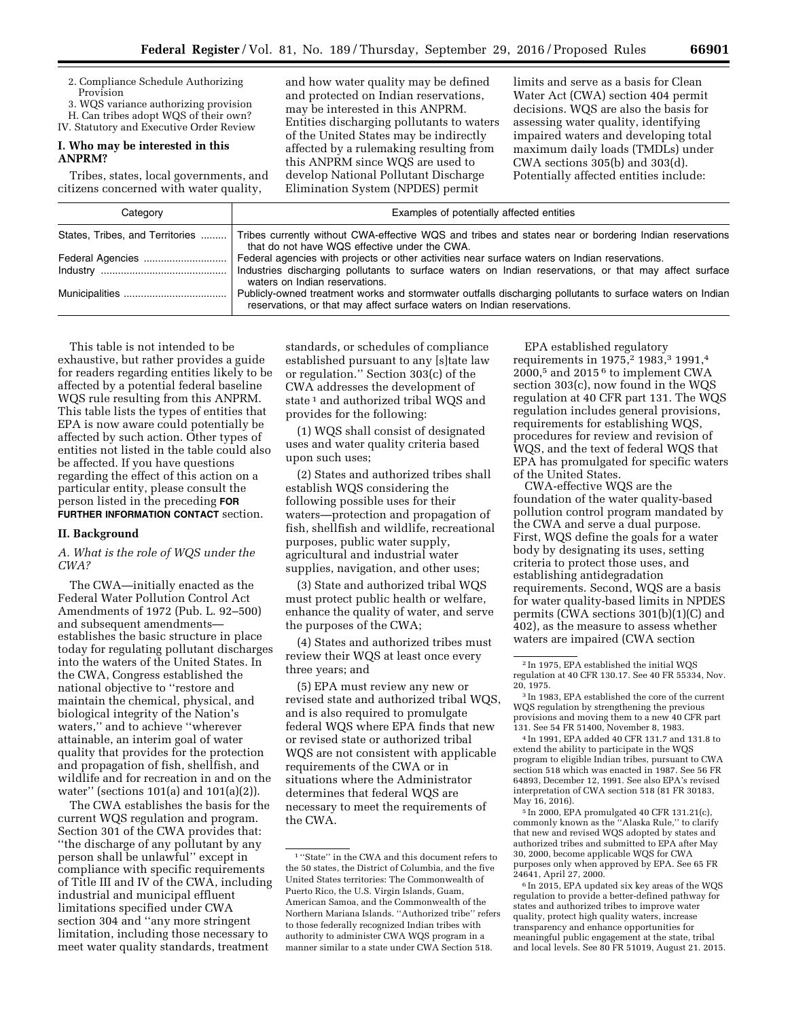2. Compliance Schedule Authorizing Provision

3. WQS variance authorizing provision

H. Can tribes adopt WQS of their own? IV. Statutory and Executive Order Review

### **I. Who may be interested in this ANPRM?**

Tribes, states, local governments, and citizens concerned with water quality,

and how water quality may be defined and protected on Indian reservations, may be interested in this ANPRM. Entities discharging pollutants to waters of the United States may be indirectly affected by a rulemaking resulting from this ANPRM since WQS are used to develop National Pollutant Discharge Elimination System (NPDES) permit

limits and serve as a basis for Clean Water Act (CWA) section 404 permit decisions. WQS are also the basis for assessing water quality, identifying impaired waters and developing total maximum daily loads (TMDLs) under CWA sections 305(b) and 303(d). Potentially affected entities include:

| Category | Examples of potentially affected entities                                                                                                                                                                                                  |
|----------|--------------------------------------------------------------------------------------------------------------------------------------------------------------------------------------------------------------------------------------------|
|          | States, Tribes, and Territories  Tribes currently without CWA-effective WQS and tribes and states near or bordering Indian reservations<br>that do not have WQS effective under the CWA.                                                   |
|          | Federal agencies with projects or other activities near surface waters on Indian reservations.<br>Industries discharging pollutants to surface waters on Indian reservations, or that may affect surface<br>waters on Indian reservations. |
|          | Publicly-owned treatment works and stormwater outfalls discharging pollutants to surface waters on Indian<br>reservations, or that may affect surface waters on Indian reservations.                                                       |

This table is not intended to be exhaustive, but rather provides a guide for readers regarding entities likely to be affected by a potential federal baseline WQS rule resulting from this ANPRM. This table lists the types of entities that EPA is now aware could potentially be affected by such action. Other types of entities not listed in the table could also be affected. If you have questions regarding the effect of this action on a particular entity, please consult the person listed in the preceding **FOR FURTHER INFORMATION CONTACT** section.

#### **II. Background**

### *A. What is the role of WQS under the CWA?*

The CWA—initially enacted as the Federal Water Pollution Control Act Amendments of 1972 (Pub. L. 92–500) and subsequent amendments establishes the basic structure in place today for regulating pollutant discharges into the waters of the United States. In the CWA, Congress established the national objective to ''restore and maintain the chemical, physical, and biological integrity of the Nation's waters,'' and to achieve ''wherever attainable, an interim goal of water quality that provides for the protection and propagation of fish, shellfish, and wildlife and for recreation in and on the water'' (sections 101(a) and 101(a)(2)).

The CWA establishes the basis for the current WQS regulation and program. Section 301 of the CWA provides that: ''the discharge of any pollutant by any person shall be unlawful'' except in compliance with specific requirements of Title III and IV of the CWA, including industrial and municipal effluent limitations specified under CWA section 304 and ''any more stringent limitation, including those necessary to meet water quality standards, treatment

standards, or schedules of compliance established pursuant to any [s]tate law or regulation.'' Section 303(c) of the CWA addresses the development of state<sup>1</sup> and authorized tribal WQS and provides for the following:

(1) WQS shall consist of designated uses and water quality criteria based upon such uses;

(2) States and authorized tribes shall establish WQS considering the following possible uses for their waters—protection and propagation of fish, shellfish and wildlife, recreational purposes, public water supply, agricultural and industrial water supplies, navigation, and other uses;

(3) State and authorized tribal WQS must protect public health or welfare, enhance the quality of water, and serve the purposes of the CWA;

(4) States and authorized tribes must review their WQS at least once every three years; and

(5) EPA must review any new or revised state and authorized tribal WQS, and is also required to promulgate federal WQS where EPA finds that new or revised state or authorized tribal WQS are not consistent with applicable requirements of the CWA or in situations where the Administrator determines that federal WQS are necessary to meet the requirements of the CWA.

EPA established regulatory requirements in 1975,<sup>2</sup> 1983,<sup>3</sup> 1991,<sup>4</sup> 2000,<sup>5</sup> and 2015<sup> $6$ </sup> to implement CWA section 303(c), now found in the WQS regulation at 40 CFR part 131. The WQS regulation includes general provisions, requirements for establishing WQS, procedures for review and revision of WQS, and the text of federal WQS that EPA has promulgated for specific waters of the United States.

CWA-effective WQS are the foundation of the water quality-based pollution control program mandated by the CWA and serve a dual purpose. First, WQS define the goals for a water body by designating its uses, setting criteria to protect those uses, and establishing antidegradation requirements. Second, WQS are a basis for water quality-based limits in NPDES permits (CWA sections 301(b)(1)(C) and 402), as the measure to assess whether waters are impaired (CWA section

4 In 1991, EPA added 40 CFR 131.7 and 131.8 to extend the ability to participate in the WQS program to eligible Indian tribes, pursuant to CWA section 518 which was enacted in 1987. See 56 FR 64893, December 12, 1991. See also EPA's revised interpretation of CWA section 518 (81 FR 30183, May 16, 2016).

5 In 2000, EPA promulgated 40 CFR 131.21(c), commonly known as the ''Alaska Rule,'' to clarify that new and revised WQS adopted by states and authorized tribes and submitted to EPA after May 30, 2000, become applicable WQS for CWA purposes only when approved by EPA. See 65 FR 24641, April 27, 2000.

6 In 2015, EPA updated six key areas of the WQS regulation to provide a better-defined pathway for states and authorized tribes to improve water quality, protect high quality waters, increase transparency and enhance opportunities for meaningful public engagement at the state, tribal and local levels. See 80 FR 51019, August 21. 2015.

<sup>1</sup> ''State'' in the CWA and this document refers to the 50 states, the District of Columbia, and the five United States territories: The Commonwealth of Puerto Rico, the U.S. Virgin Islands, Guam, American Samoa, and the Commonwealth of the Northern Mariana Islands. ''Authorized tribe'' refers to those federally recognized Indian tribes with authority to administer CWA WQS program in a manner similar to a state under CWA Section 518.

<sup>2</sup> In 1975, EPA established the initial WQS regulation at 40 CFR 130.17. See 40 FR 55334, Nov. 20, 1975.

<sup>3</sup> In 1983, EPA established the core of the current WQS regulation by strengthening the previous provisions and moving them to a new 40 CFR part 131. See 54 FR 51400, November 8, 1983.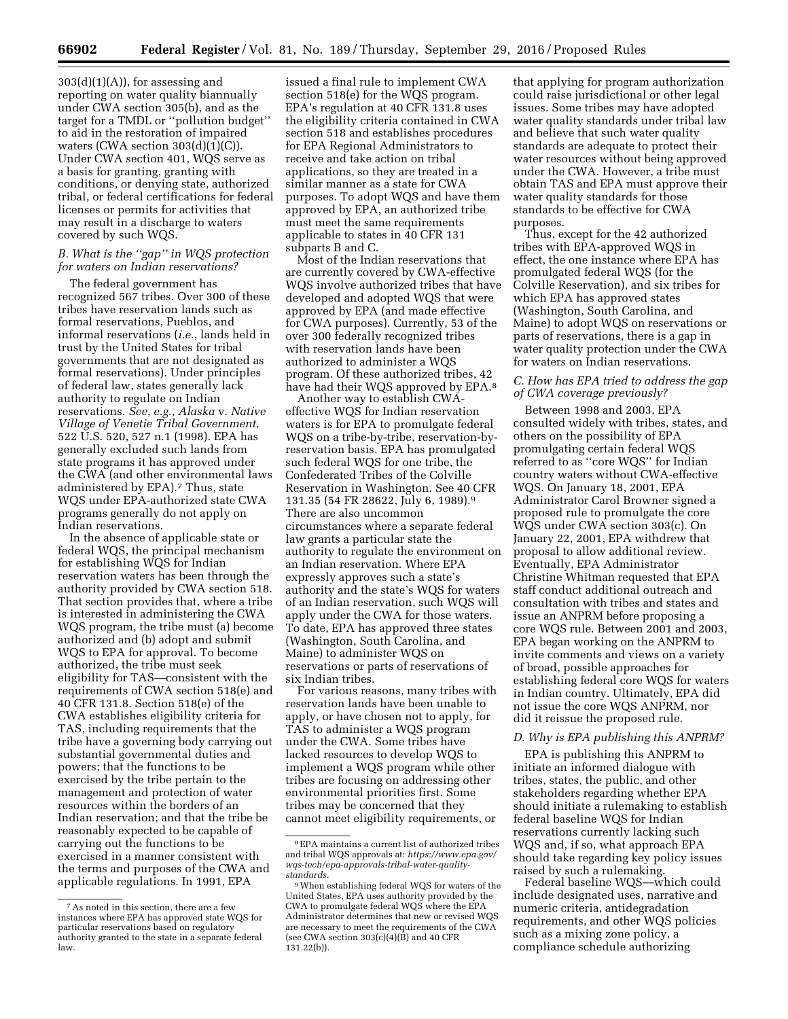$303(d)(1)(A)$ , for assessing and reporting on water quality biannually under CWA section 305(b), and as the target for a TMDL or ''pollution budget'' to aid in the restoration of impaired waters (CWA section  $303(d)(1)(C)$ ). Under CWA section 401, WQS serve as a basis for granting, granting with conditions, or denying state, authorized tribal, or federal certifications for federal licenses or permits for activities that may result in a discharge to waters covered by such WQS.

# *B. What is the ''gap'' in WQS protection for waters on Indian reservations?*

The federal government has recognized 567 tribes. Over 300 of these tribes have reservation lands such as formal reservations, Pueblos, and informal reservations (*i.e.*, lands held in trust by the United States for tribal governments that are not designated as formal reservations). Under principles of federal law, states generally lack authority to regulate on Indian reservations. *See, e.g., Alaska* v. *Native Village of Venetie Tribal Government*, 522 U.S. 520, 527 n.1 (1998). EPA has generally excluded such lands from state programs it has approved under the CWA (and other environmental laws administered by EPA).7 Thus, state WQS under EPA-authorized state CWA programs generally do not apply on Indian reservations.

In the absence of applicable state or federal WQS, the principal mechanism for establishing WQS for Indian reservation waters has been through the authority provided by CWA section 518. That section provides that, where a tribe is interested in administering the CWA WQS program, the tribe must (a) become authorized and (b) adopt and submit WQS to EPA for approval. To become authorized, the tribe must seek eligibility for TAS—consistent with the requirements of CWA section 518(e) and 40 CFR 131.8. Section 518(e) of the CWA establishes eligibility criteria for TAS, including requirements that the tribe have a governing body carrying out substantial governmental duties and powers; that the functions to be exercised by the tribe pertain to the management and protection of water resources within the borders of an Indian reservation; and that the tribe be reasonably expected to be capable of carrying out the functions to be exercised in a manner consistent with the terms and purposes of the CWA and applicable regulations. In 1991, EPA

issued a final rule to implement CWA section 518(e) for the WQS program. EPA's regulation at 40 CFR 131.8 uses the eligibility criteria contained in CWA section 518 and establishes procedures for EPA Regional Administrators to receive and take action on tribal applications, so they are treated in a similar manner as a state for CWA purposes. To adopt WQS and have them approved by EPA, an authorized tribe must meet the same requirements applicable to states in 40 CFR 131 subparts B and C.

Most of the Indian reservations that are currently covered by CWA-effective WQS involve authorized tribes that have developed and adopted WQS that were approved by EPA (and made effective for CWA purposes). Currently, 53 of the over 300 federally recognized tribes with reservation lands have been authorized to administer a WQS program. Of these authorized tribes, 42 have had their WQS approved by EPA.<sup>8</sup>

Another way to establish CWAeffective WQS for Indian reservation waters is for EPA to promulgate federal WQS on a tribe-by-tribe, reservation-byreservation basis. EPA has promulgated such federal WQS for one tribe, the Confederated Tribes of the Colville Reservation in Washington. See 40 CFR 131.35 (54 FR 28622, July 6, 1989).9 There are also uncommon circumstances where a separate federal law grants a particular state the authority to regulate the environment on an Indian reservation. Where EPA expressly approves such a state's authority and the state's WQS for waters of an Indian reservation, such WQS will apply under the CWA for those waters. To date, EPA has approved three states (Washington, South Carolina, and Maine) to administer WQS on reservations or parts of reservations of six Indian tribes.

For various reasons, many tribes with reservation lands have been unable to apply, or have chosen not to apply, for TAS to administer a WQS program under the CWA. Some tribes have lacked resources to develop WQS to implement a WQS program while other tribes are focusing on addressing other environmental priorities first. Some tribes may be concerned that they cannot meet eligibility requirements, or

that applying for program authorization could raise jurisdictional or other legal issues. Some tribes may have adopted water quality standards under tribal law and believe that such water quality standards are adequate to protect their water resources without being approved under the CWA. However, a tribe must obtain TAS and EPA must approve their water quality standards for those standards to be effective for CWA purposes.

Thus, except for the 42 authorized tribes with EPA-approved WQS in effect, the one instance where EPA has promulgated federal WQS (for the Colville Reservation), and six tribes for which EPA has approved states (Washington, South Carolina, and Maine) to adopt WQS on reservations or parts of reservations, there is a gap in water quality protection under the CWA for waters on Indian reservations.

# *C. How has EPA tried to address the gap of CWA coverage previously?*

Between 1998 and 2003, EPA consulted widely with tribes, states, and others on the possibility of EPA promulgating certain federal WQS referred to as ''core WQS'' for Indian country waters without CWA-effective WQS. On January 18, 2001, EPA Administrator Carol Browner signed a proposed rule to promulgate the core WQS under CWA section 303(c). On January 22, 2001, EPA withdrew that proposal to allow additional review. Eventually, EPA Administrator Christine Whitman requested that EPA staff conduct additional outreach and consultation with tribes and states and issue an ANPRM before proposing a core WQS rule. Between 2001 and 2003, EPA began working on the ANPRM to invite comments and views on a variety of broad, possible approaches for establishing federal core WQS for waters in Indian country. Ultimately, EPA did not issue the core WQS ANPRM, nor did it reissue the proposed rule.

### *D. Why is EPA publishing this ANPRM?*

EPA is publishing this ANPRM to initiate an informed dialogue with tribes, states, the public, and other stakeholders regarding whether EPA should initiate a rulemaking to establish federal baseline WQS for Indian reservations currently lacking such WQS and, if so, what approach EPA should take regarding key policy issues raised by such a rulemaking.

Federal baseline WQS—which could include designated uses, narrative and numeric criteria, antidegradation requirements, and other WQS policies such as a mixing zone policy, a compliance schedule authorizing

<sup>7</sup>As noted in this section, there are a few instances where EPA has approved state WQS for particular reservations based on regulatory authority granted to the state in a separate federal law.

<sup>8</sup>EPA maintains a current list of authorized tribes and tribal WQS approvals at: *https://www.epa.gov/ wqs-tech/epa-approvals-tribal-water-qualitystandards.* 

<sup>9</sup>When establishing federal WQS for waters of the United States, EPA uses authority provided by the CWA to promulgate federal WQS where the EPA Administrator determines that new or revised WQS are necessary to meet the requirements of the CWA (see CWA section  $303(c)(4)(\bar{B})$  and  $40$  CFR 131.22(b)).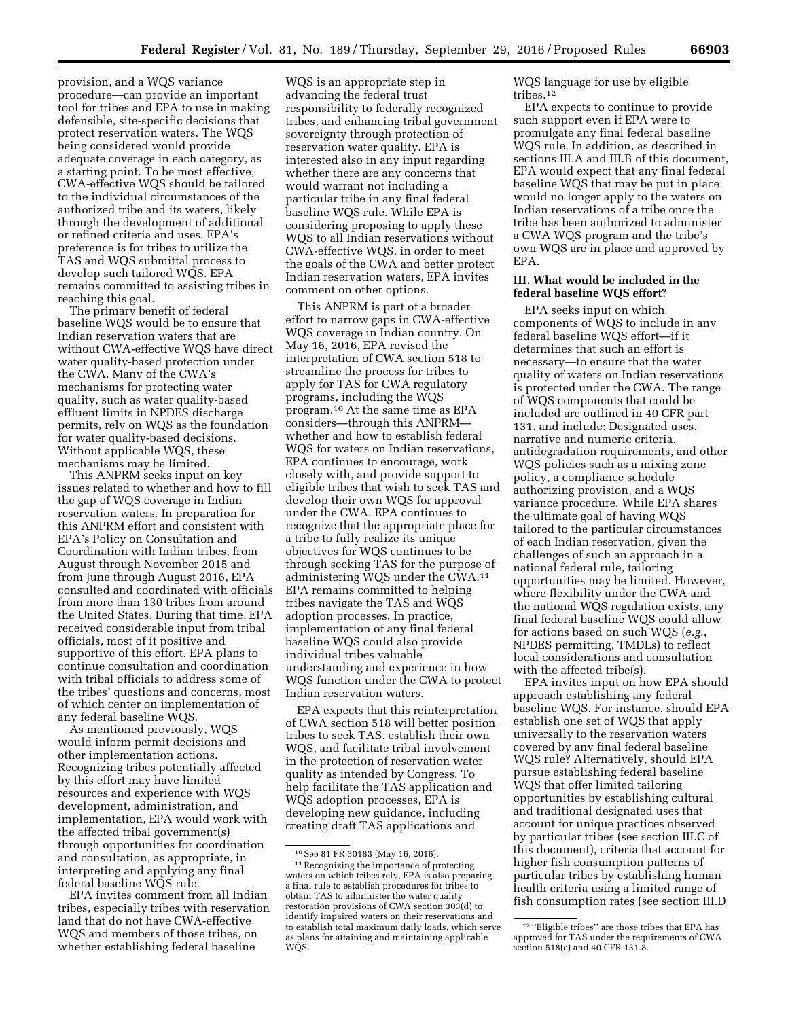provision, and a WQS variance procedure—can provide an important tool for tribes and EPA to use in making defensible, site-specific decisions that protect reservation waters. The WQS being considered would provide adequate coverage in each category, as a starting point. To be most effective, CWA-effective WQS should be tailored to the individual circumstances of the authorized tribe and its waters, likely through the development of additional or refined criteria and uses. EPA's preference is for tribes to utilize the TAS and WQS submittal process to develop such tailored WQS. EPA remains committed to assisting tribes in reaching this goal.

The primary benefit of federal baseline WQS would be to ensure that Indian reservation waters that are without CWA-effective WQS have direct water quality-based protection under the CWA. Many of the CWA's mechanisms for protecting water quality, such as water quality-based effluent limits in NPDES discharge permits, rely on WQS as the foundation for water quality-based decisions. Without applicable WQS, these mechanisms may be limited.

This ANPRM seeks input on key issues related to whether and how to fill the gap of WQS coverage in Indian reservation waters. In preparation for this ANPRM effort and consistent with EPA's Policy on Consultation and Coordination with Indian tribes, from August through November 2015 and from June through August 2016, EPA consulted and coordinated with officials from more than 130 tribes from around the United States. During that time, EPA received considerable input from tribal officials, most of it positive and supportive of this effort. EPA plans to continue consultation and coordination with tribal officials to address some of the tribes' questions and concerns, most of which center on implementation of any federal baseline WQS.

As mentioned previously, WQS would inform permit decisions and other implementation actions. Recognizing tribes potentially affected by this effort may have limited resources and experience with WQS development, administration, and implementation, EPA would work with the affected tribal government(s) through opportunities for coordination and consultation, as appropriate, in interpreting and applying any final federal baseline WQS rule.

EPA invites comment from all Indian tribes, especially tribes with reservation land that do not have CWA-effective WQS and members of those tribes, on whether establishing federal baseline

WQS is an appropriate step in advancing the federal trust responsibility to federally recognized tribes, and enhancing tribal government sovereignty through protection of reservation water quality. EPA is interested also in any input regarding whether there are any concerns that would warrant not including a particular tribe in any final federal baseline WQS rule. While EPA is considering proposing to apply these WQS to all Indian reservations without CWA-effective WQS, in order to meet the goals of the CWA and better protect Indian reservation waters, EPA invites comment on other options.

This ANPRM is part of a broader effort to narrow gaps in CWA-effective WQS coverage in Indian country. On May 16, 2016, EPA revised the interpretation of CWA section 518 to streamline the process for tribes to apply for TAS for CWA regulatory programs, including the WQS program.10 At the same time as EPA considers—through this ANPRM whether and how to establish federal WQS for waters on Indian reservations, EPA continues to encourage, work closely with, and provide support to eligible tribes that wish to seek TAS and develop their own WQS for approval under the CWA. EPA continues to recognize that the appropriate place for a tribe to fully realize its unique objectives for WQS continues to be through seeking TAS for the purpose of administering WQS under the CWA.11 EPA remains committed to helping tribes navigate the TAS and WQS adoption processes. In practice, implementation of any final federal baseline WQS could also provide individual tribes valuable understanding and experience in how WQS function under the CWA to protect Indian reservation waters.

EPA expects that this reinterpretation of CWA section 518 will better position tribes to seek TAS, establish their own WQS, and facilitate tribal involvement in the protection of reservation water quality as intended by Congress. To help facilitate the TAS application and WQS adoption processes, EPA is developing new guidance, including creating draft TAS applications and

WQS language for use by eligible tribes.12

EPA expects to continue to provide such support even if EPA were to promulgate any final federal baseline WQS rule. In addition, as described in sections III.A and III.B of this document, EPA would expect that any final federal baseline WQS that may be put in place would no longer apply to the waters on Indian reservations of a tribe once the tribe has been authorized to administer a CWA WQS program and the tribe's own WQS are in place and approved by EPA.

### **III. What would be included in the federal baseline WQS effort?**

EPA seeks input on which components of WQS to include in any federal baseline WQS effort—if it determines that such an effort is necessary—to ensure that the water quality of waters on Indian reservations is protected under the CWA. The range of WQS components that could be included are outlined in 40 CFR part 131, and include: Designated uses, narrative and numeric criteria, antidegradation requirements, and other WQS policies such as a mixing zone policy, a compliance schedule authorizing provision, and a WQS variance procedure. While EPA shares the ultimate goal of having WQS tailored to the particular circumstances of each Indian reservation, given the challenges of such an approach in a national federal rule, tailoring opportunities may be limited. However, where flexibility under the CWA and the national WQS regulation exists, any final federal baseline WQS could allow for actions based on such WQS (*e.g.*, NPDES permitting, TMDLs) to reflect local considerations and consultation with the affected tribe(s).

EPA invites input on how EPA should approach establishing any federal baseline WQS. For instance, should EPA establish one set of WQS that apply universally to the reservation waters covered by any final federal baseline WQS rule? Alternatively, should EPA pursue establishing federal baseline WQS that offer limited tailoring opportunities by establishing cultural and traditional designated uses that account for unique practices observed by particular tribes (see section III.C of this document), criteria that account for higher fish consumption patterns of particular tribes by establishing human health criteria using a limited range of fish consumption rates (see section III.D

<sup>10</sup>See 81 FR 30183 (May 16, 2016). <sup>11</sup> Recognizing the importance of protecting

waters on which tribes rely, EPA is also preparing a final rule to establish procedures for tribes to obtain TAS to administer the water quality restoration provisions of CWA section 303(d) to identify impaired waters on their reservations and to establish total maximum daily loads, which serve as plans for attaining and maintaining applicable WQS.

<sup>12</sup> ''Eligible tribes'' are those tribes that EPA has approved for TAS under the requirements of CWA section 518(e) and 40 CFR 131.8.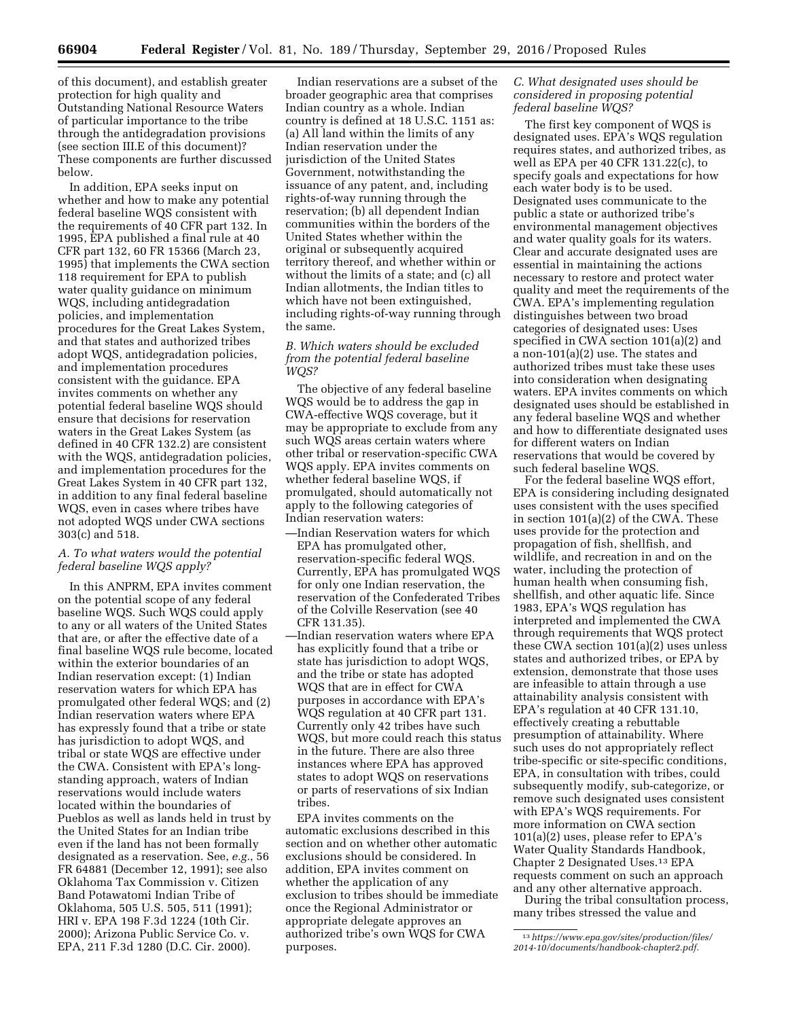of this document), and establish greater protection for high quality and Outstanding National Resource Waters of particular importance to the tribe through the antidegradation provisions (see section III.E of this document)? These components are further discussed below.

In addition, EPA seeks input on whether and how to make any potential federal baseline WQS consistent with the requirements of 40 CFR part 132. In 1995, EPA published a final rule at 40 CFR part 132, 60 FR 15366 (March 23, 1995) that implements the CWA section 118 requirement for EPA to publish water quality guidance on minimum WQS, including antidegradation policies, and implementation procedures for the Great Lakes System, and that states and authorized tribes adopt WQS, antidegradation policies, and implementation procedures consistent with the guidance. EPA invites comments on whether any potential federal baseline WQS should ensure that decisions for reservation waters in the Great Lakes System (as defined in 40 CFR 132.2) are consistent with the WQS, antidegradation policies, and implementation procedures for the Great Lakes System in 40 CFR part 132, in addition to any final federal baseline WQS, even in cases where tribes have not adopted WQS under CWA sections 303(c) and 518.

### *A. To what waters would the potential federal baseline WQS apply?*

In this ANPRM, EPA invites comment on the potential scope of any federal baseline WQS. Such WQS could apply to any or all waters of the United States that are, or after the effective date of a final baseline WQS rule become, located within the exterior boundaries of an Indian reservation except: (1) Indian reservation waters for which EPA has promulgated other federal WQS; and (2) Indian reservation waters where EPA has expressly found that a tribe or state has jurisdiction to adopt WQS, and tribal or state WQS are effective under the CWA. Consistent with EPA's longstanding approach, waters of Indian reservations would include waters located within the boundaries of Pueblos as well as lands held in trust by the United States for an Indian tribe even if the land has not been formally designated as a reservation. See, *e.g.*, 56 FR 64881 (December 12, 1991); see also Oklahoma Tax Commission v. Citizen Band Potawatomi Indian Tribe of Oklahoma, 505 U.S. 505, 511 (1991); HRI v. EPA 198 F.3d 1224 (10th Cir. 2000); Arizona Public Service Co. v. EPA, 211 F.3d 1280 (D.C. Cir. 2000).

Indian reservations are a subset of the broader geographic area that comprises Indian country as a whole. Indian country is defined at 18 U.S.C. 1151 as: (a) All land within the limits of any Indian reservation under the jurisdiction of the United States Government, notwithstanding the issuance of any patent, and, including rights-of-way running through the reservation; (b) all dependent Indian communities within the borders of the United States whether within the original or subsequently acquired territory thereof, and whether within or without the limits of a state; and (c) all Indian allotments, the Indian titles to which have not been extinguished, including rights-of-way running through the same.

# *B. Which waters should be excluded from the potential federal baseline WQS?*

The objective of any federal baseline WQS would be to address the gap in CWA-effective WQS coverage, but it may be appropriate to exclude from any such WQS areas certain waters where other tribal or reservation-specific CWA WQS apply. EPA invites comments on whether federal baseline WQS, if promulgated, should automatically not apply to the following categories of Indian reservation waters:

- —Indian Reservation waters for which EPA has promulgated other, reservation-specific federal WQS. Currently, EPA has promulgated WQS for only one Indian reservation, the reservation of the Confederated Tribes of the Colville Reservation (see 40 CFR 131.35).
- —Indian reservation waters where EPA has explicitly found that a tribe or state has jurisdiction to adopt WQS, and the tribe or state has adopted WQS that are in effect for CWA purposes in accordance with EPA's WQS regulation at 40 CFR part 131. Currently only 42 tribes have such WQS, but more could reach this status in the future. There are also three instances where EPA has approved states to adopt WQS on reservations or parts of reservations of six Indian tribes.

EPA invites comments on the automatic exclusions described in this section and on whether other automatic exclusions should be considered. In addition, EPA invites comment on whether the application of any exclusion to tribes should be immediate once the Regional Administrator or appropriate delegate approves an authorized tribe's own WQS for CWA purposes.

# *C. What designated uses should be considered in proposing potential federal baseline WQS?*

The first key component of WQS is designated uses. EPA's WQS regulation requires states, and authorized tribes, as well as EPA per 40 CFR 131.22(c), to specify goals and expectations for how each water body is to be used. Designated uses communicate to the public a state or authorized tribe's environmental management objectives and water quality goals for its waters. Clear and accurate designated uses are essential in maintaining the actions necessary to restore and protect water quality and meet the requirements of the CWA. EPA's implementing regulation distinguishes between two broad categories of designated uses: Uses specified in CWA section 101(a)(2) and a non-101(a)(2) use. The states and authorized tribes must take these uses into consideration when designating waters. EPA invites comments on which designated uses should be established in any federal baseline WQS and whether and how to differentiate designated uses for different waters on Indian reservations that would be covered by such federal baseline WQS.

For the federal baseline WQS effort, EPA is considering including designated uses consistent with the uses specified in section 101(a)(2) of the CWA. These uses provide for the protection and propagation of fish, shellfish, and wildlife, and recreation in and on the water, including the protection of human health when consuming fish, shellfish, and other aquatic life. Since 1983, EPA's WQS regulation has interpreted and implemented the CWA through requirements that WQS protect these CWA section 101(a)(2) uses unless states and authorized tribes, or EPA by extension, demonstrate that those uses are infeasible to attain through a use attainability analysis consistent with EPA's regulation at 40 CFR 131.10, effectively creating a rebuttable presumption of attainability. Where such uses do not appropriately reflect tribe-specific or site-specific conditions, EPA, in consultation with tribes, could subsequently modify, sub-categorize, or remove such designated uses consistent with EPA's WQS requirements. For more information on CWA section 101(a)(2) uses, please refer to EPA's Water Quality Standards Handbook, Chapter 2 Designated Uses.13 EPA requests comment on such an approach and any other alternative approach.

During the tribal consultation process, many tribes stressed the value and

<sup>13</sup>*[https://www.epa.gov/sites/production/files/](https://www.epa.gov/sites/production/files/2014-10/documents/handbook-chapter2.pdf)  [2014-10/documents/handbook-chapter2.pdf.](https://www.epa.gov/sites/production/files/2014-10/documents/handbook-chapter2.pdf)*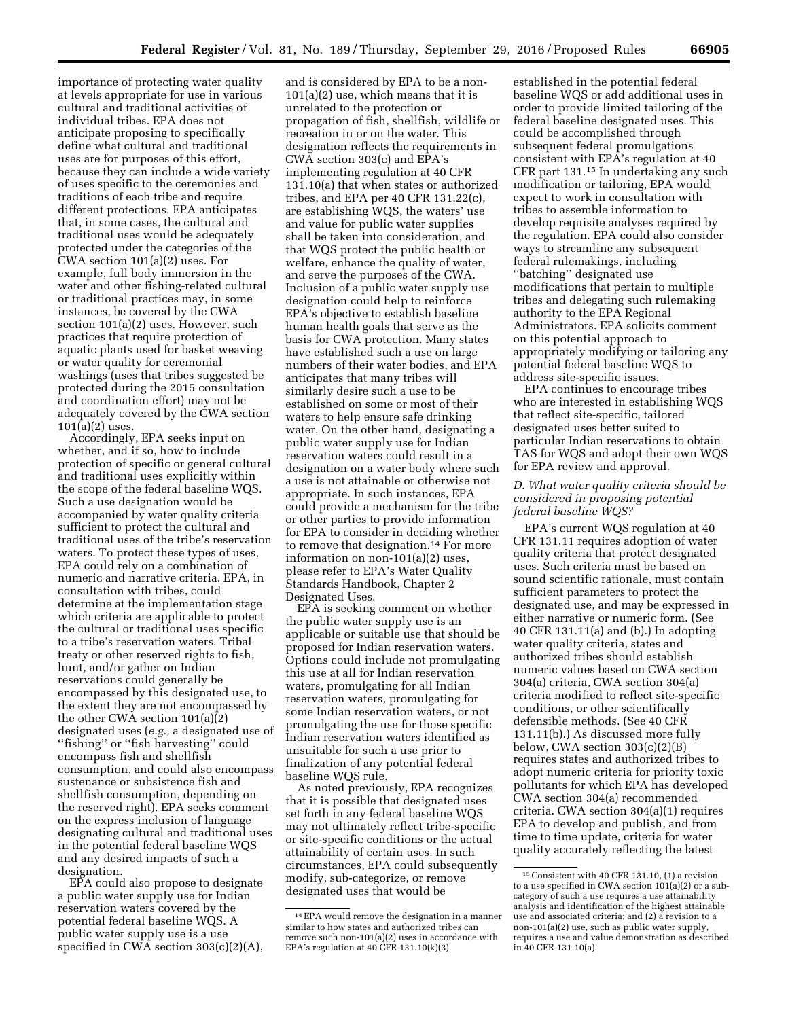importance of protecting water quality at levels appropriate for use in various cultural and traditional activities of individual tribes. EPA does not anticipate proposing to specifically define what cultural and traditional uses are for purposes of this effort, because they can include a wide variety of uses specific to the ceremonies and traditions of each tribe and require different protections. EPA anticipates that, in some cases, the cultural and traditional uses would be adequately protected under the categories of the CWA section 101(a)(2) uses. For example, full body immersion in the water and other fishing-related cultural or traditional practices may, in some instances, be covered by the CWA section 101(a)(2) uses. However, such practices that require protection of aquatic plants used for basket weaving or water quality for ceremonial washings (uses that tribes suggested be protected during the 2015 consultation and coordination effort) may not be adequately covered by the CWA section 101(a)(2) uses.

Accordingly, EPA seeks input on whether, and if so, how to include protection of specific or general cultural and traditional uses explicitly within the scope of the federal baseline WQS. Such a use designation would be accompanied by water quality criteria sufficient to protect the cultural and traditional uses of the tribe's reservation waters. To protect these types of uses, EPA could rely on a combination of numeric and narrative criteria. EPA, in consultation with tribes, could determine at the implementation stage which criteria are applicable to protect the cultural or traditional uses specific to a tribe's reservation waters. Tribal treaty or other reserved rights to fish, hunt, and/or gather on Indian reservations could generally be encompassed by this designated use, to the extent they are not encompassed by the other CWA section 101(a)(2) designated uses (*e.g.,* a designated use of ''fishing'' or ''fish harvesting'' could encompass fish and shellfish consumption, and could also encompass sustenance or subsistence fish and shellfish consumption, depending on the reserved right). EPA seeks comment on the express inclusion of language designating cultural and traditional uses in the potential federal baseline WQS and any desired impacts of such a designation.

EPA could also propose to designate a public water supply use for Indian reservation waters covered by the potential federal baseline WQS. A public water supply use is a use specified in CWA section 303(c)(2)(A),

and is considered by EPA to be a non-101(a)(2) use, which means that it is unrelated to the protection or propagation of fish, shellfish, wildlife or recreation in or on the water. This designation reflects the requirements in CWA section 303(c) and EPA's implementing regulation at 40 CFR 131.10(a) that when states or authorized tribes, and EPA per 40 CFR 131.22(c), are establishing WQS, the waters' use and value for public water supplies shall be taken into consideration, and that WQS protect the public health or welfare, enhance the quality of water, and serve the purposes of the CWA. Inclusion of a public water supply use designation could help to reinforce EPA's objective to establish baseline human health goals that serve as the basis for CWA protection. Many states have established such a use on large numbers of their water bodies, and EPA anticipates that many tribes will similarly desire such a use to be established on some or most of their waters to help ensure safe drinking water. On the other hand, designating a public water supply use for Indian reservation waters could result in a designation on a water body where such a use is not attainable or otherwise not appropriate. In such instances, EPA could provide a mechanism for the tribe or other parties to provide information for EPA to consider in deciding whether to remove that designation.<sup>14</sup> For more information on non-101(a)(2) uses, please refer to EPA's Water Quality Standards Handbook, Chapter 2 Designated Uses.

EPA is seeking comment on whether the public water supply use is an applicable or suitable use that should be proposed for Indian reservation waters. Options could include not promulgating this use at all for Indian reservation waters, promulgating for all Indian reservation waters, promulgating for some Indian reservation waters, or not promulgating the use for those specific Indian reservation waters identified as unsuitable for such a use prior to finalization of any potential federal baseline WQS rule.

As noted previously, EPA recognizes that it is possible that designated uses set forth in any federal baseline WQS may not ultimately reflect tribe-specific or site-specific conditions or the actual attainability of certain uses. In such circumstances, EPA could subsequently modify, sub-categorize, or remove designated uses that would be

established in the potential federal baseline WQS or add additional uses in order to provide limited tailoring of the federal baseline designated uses. This could be accomplished through subsequent federal promulgations consistent with EPA's regulation at 40 CFR part 131.15 In undertaking any such modification or tailoring, EPA would expect to work in consultation with tribes to assemble information to develop requisite analyses required by the regulation. EPA could also consider ways to streamline any subsequent federal rulemakings, including ''batching'' designated use modifications that pertain to multiple tribes and delegating such rulemaking authority to the EPA Regional Administrators. EPA solicits comment on this potential approach to appropriately modifying or tailoring any potential federal baseline WQS to address site-specific issues.

EPA continues to encourage tribes who are interested in establishing WQS that reflect site-specific, tailored designated uses better suited to particular Indian reservations to obtain TAS for WQS and adopt their own WQS for EPA review and approval.

# *D. What water quality criteria should be considered in proposing potential federal baseline WQS?*

EPA's current WQS regulation at 40 CFR 131.11 requires adoption of water quality criteria that protect designated uses. Such criteria must be based on sound scientific rationale, must contain sufficient parameters to protect the designated use, and may be expressed in either narrative or numeric form. (See 40 CFR 131.11(a) and (b).) In adopting water quality criteria, states and authorized tribes should establish numeric values based on CWA section 304(a) criteria, CWA section 304(a) criteria modified to reflect site-specific conditions, or other scientifically defensible methods. (See 40 CFR 131.11(b).) As discussed more fully below, CWA section  $303(c)(2)(B)$ requires states and authorized tribes to adopt numeric criteria for priority toxic pollutants for which EPA has developed CWA section 304(a) recommended criteria. CWA section 304(a)(1) requires EPA to develop and publish, and from time to time update, criteria for water quality accurately reflecting the latest

<sup>14</sup>EPA would remove the designation in a manner similar to how states and authorized tribes can remove such non-101(a)(2) uses in accordance with EPA's regulation at 40 CFR 131.10(k)(3).

<sup>15</sup>Consistent with 40 CFR 131.10, (1) a revision to a use specified in CWA section 101(a)(2) or a subcategory of such a use requires a use attainability analysis and identification of the highest attainable use and associated criteria; and (2) a revision to a non-101(a)(2) use, such as public water supply, requires a use and value demonstration as described in 40 CFR 131.10(a).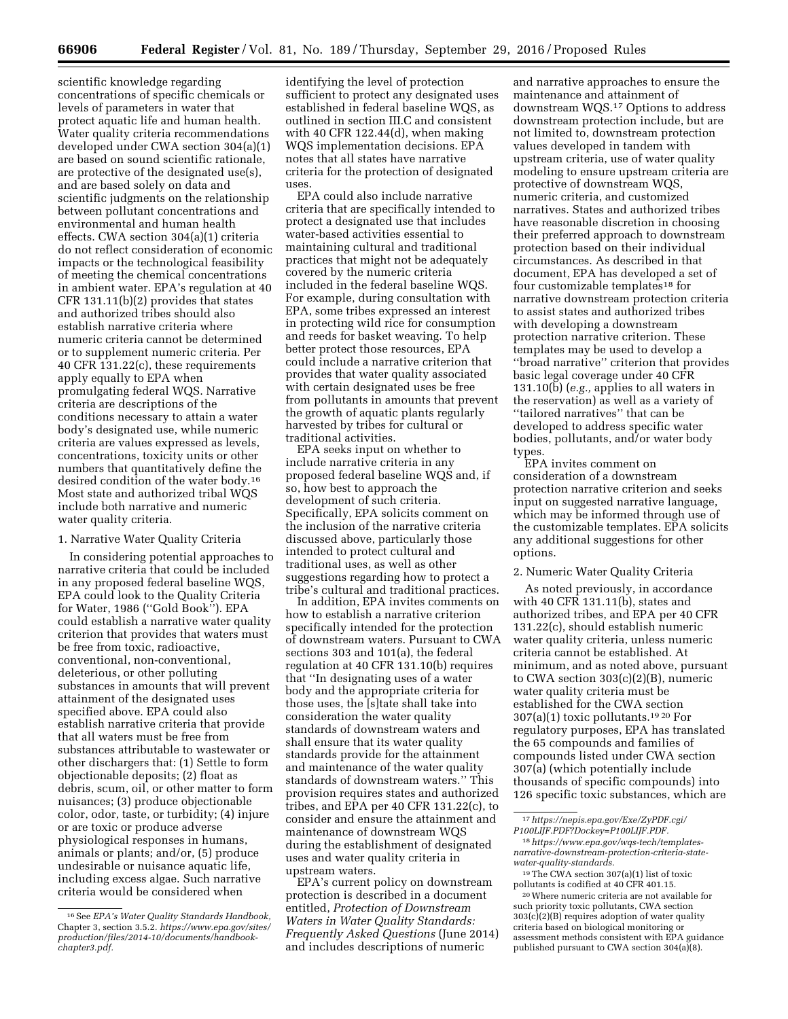scientific knowledge regarding concentrations of specific chemicals or levels of parameters in water that protect aquatic life and human health. Water quality criteria recommendations developed under CWA section 304(a)(1) are based on sound scientific rationale, are protective of the designated use(s), and are based solely on data and scientific judgments on the relationship between pollutant concentrations and environmental and human health effects. CWA section 304(a)(1) criteria do not reflect consideration of economic impacts or the technological feasibility of meeting the chemical concentrations in ambient water. EPA's regulation at 40 CFR 131.11(b)(2) provides that states and authorized tribes should also establish narrative criteria where numeric criteria cannot be determined or to supplement numeric criteria. Per 40 CFR 131.22(c), these requirements apply equally to EPA when promulgating federal WQS. Narrative criteria are descriptions of the conditions necessary to attain a water body's designated use, while numeric criteria are values expressed as levels, concentrations, toxicity units or other numbers that quantitatively define the desired condition of the water body.16 Most state and authorized tribal WQS include both narrative and numeric water quality criteria.

#### 1. Narrative Water Quality Criteria

In considering potential approaches to narrative criteria that could be included in any proposed federal baseline WQS, EPA could look to the Quality Criteria for Water, 1986 (''Gold Book''). EPA could establish a narrative water quality criterion that provides that waters must be free from toxic, radioactive, conventional, non-conventional, deleterious, or other polluting substances in amounts that will prevent attainment of the designated uses specified above. EPA could also establish narrative criteria that provide that all waters must be free from substances attributable to wastewater or other dischargers that: (1) Settle to form objectionable deposits; (2) float as debris, scum, oil, or other matter to form nuisances; (3) produce objectionable color, odor, taste, or turbidity; (4) injure or are toxic or produce adverse physiological responses in humans, animals or plants; and/or, (5) produce undesirable or nuisance aquatic life, including excess algae. Such narrative criteria would be considered when

identifying the level of protection sufficient to protect any designated uses established in federal baseline WQS, as outlined in section III.C and consistent with 40 CFR 122.44(d), when making WQS implementation decisions. EPA notes that all states have narrative criteria for the protection of designated uses.

EPA could also include narrative criteria that are specifically intended to protect a designated use that includes water-based activities essential to maintaining cultural and traditional practices that might not be adequately covered by the numeric criteria included in the federal baseline WQS. For example, during consultation with EPA, some tribes expressed an interest in protecting wild rice for consumption and reeds for basket weaving. To help better protect those resources, EPA could include a narrative criterion that provides that water quality associated with certain designated uses be free from pollutants in amounts that prevent the growth of aquatic plants regularly harvested by tribes for cultural or traditional activities.

EPA seeks input on whether to include narrative criteria in any proposed federal baseline WQS and, if so, how best to approach the development of such criteria. Specifically, EPA solicits comment on the inclusion of the narrative criteria discussed above, particularly those intended to protect cultural and traditional uses, as well as other suggestions regarding how to protect a tribe's cultural and traditional practices.

In addition, EPA invites comments on how to establish a narrative criterion specifically intended for the protection of downstream waters. Pursuant to CWA sections 303 and 101(a), the federal regulation at 40 CFR 131.10(b) requires that ''In designating uses of a water body and the appropriate criteria for those uses, the [s]tate shall take into consideration the water quality standards of downstream waters and shall ensure that its water quality standards provide for the attainment and maintenance of the water quality standards of downstream waters.'' This provision requires states and authorized tribes, and EPA per 40 CFR 131.22(c), to consider and ensure the attainment and maintenance of downstream WQS during the establishment of designated uses and water quality criteria in upstream waters.

EPA's current policy on downstream protection is described in a document entitled, *Protection of Downstream Waters in Water Quality Standards: Frequently Asked Questions* (June 2014) and includes descriptions of numeric

and narrative approaches to ensure the maintenance and attainment of downstream WQS.17 Options to address downstream protection include, but are not limited to, downstream protection values developed in tandem with upstream criteria, use of water quality modeling to ensure upstream criteria are protective of downstream WQS, numeric criteria, and customized narratives. States and authorized tribes have reasonable discretion in choosing their preferred approach to downstream protection based on their individual circumstances. As described in that document, EPA has developed a set of four customizable templates18 for narrative downstream protection criteria to assist states and authorized tribes with developing a downstream protection narrative criterion. These templates may be used to develop a ''broad narrative'' criterion that provides basic legal coverage under 40 CFR 131.10(b) (*e.g.,* applies to all waters in the reservation) as well as a variety of ''tailored narratives'' that can be developed to address specific water bodies, pollutants, and/or water body types.

EPA invites comment on consideration of a downstream protection narrative criterion and seeks input on suggested narrative language, which may be informed through use of the customizable templates. EPA solicits any additional suggestions for other options.

### 2. Numeric Water Quality Criteria

As noted previously, in accordance with 40 CFR 131.11(b), states and authorized tribes, and EPA per 40 CFR 131.22(c), should establish numeric water quality criteria, unless numeric criteria cannot be established. At minimum, and as noted above, pursuant to CWA section 303(c)(2)(B), numeric water quality criteria must be established for the CWA section  $307(a)(1)$  toxic pollutants.<sup>19 20</sup> For regulatory purposes, EPA has translated the 65 compounds and families of compounds listed under CWA section 307(a) (which potentially include thousands of specific compounds) into 126 specific toxic substances, which are

18*https://www.epa.gov/wqs-tech/templatesnarrative-downstream-protection-criteria-statewater-quality-standards.* 

19The CWA section 307(a)(1) list of toxic pollutants is codified at 40 CFR 401.15.

20Where numeric criteria are not available for such priority toxic pollutants, CWA section 303(c)(2)(B) requires adoption of water quality criteria based on biological monitoring or assessment methods consistent with EPA guidance published pursuant to CWA section 304(a)(8).

<sup>16</sup>See *EPA's Water Quality Standards Handbook,*  Chapter 3, section 3.5.2. *[https://www.epa.gov/sites/](https://www.epa.gov/sites/production/files/2014-10/documents/handbook-chapter3.pdf) [production/files/2014-10/documents/handbook](https://www.epa.gov/sites/production/files/2014-10/documents/handbook-chapter3.pdf)[chapter3.pdf.](https://www.epa.gov/sites/production/files/2014-10/documents/handbook-chapter3.pdf)* 

<sup>17</sup>*[https://nepis.epa.gov/Exe/ZyPDF.cgi/](https://nepis.epa.gov/Exe/ZyPDF.cgi/P100LIJF.PDF?Dockey=P100LIJF.PDF)  [P100LIJF.PDF?Dockey=P100LIJF.PDF.](https://nepis.epa.gov/Exe/ZyPDF.cgi/P100LIJF.PDF?Dockey=P100LIJF.PDF)*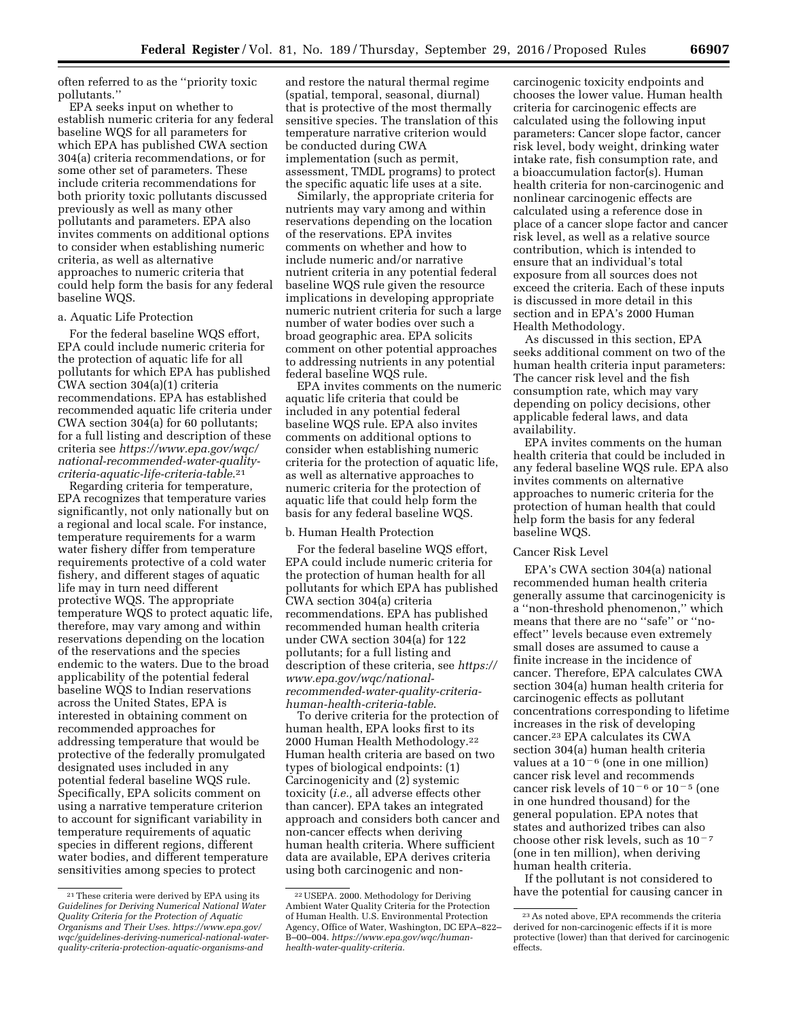often referred to as the ''priority toxic pollutants.''

EPA seeks input on whether to establish numeric criteria for any federal baseline WQS for all parameters for which EPA has published CWA section 304(a) criteria recommendations, or for some other set of parameters. These include criteria recommendations for both priority toxic pollutants discussed previously as well as many other pollutants and parameters. EPA also invites comments on additional options to consider when establishing numeric criteria, as well as alternative approaches to numeric criteria that could help form the basis for any federal baseline WQS.

### a. Aquatic Life Protection

For the federal baseline WQS effort, EPA could include numeric criteria for the protection of aquatic life for all pollutants for which EPA has published CWA section 304(a)(1) criteria recommendations. EPA has established recommended aquatic life criteria under CWA section 304(a) for 60 pollutants; for a full listing and description of these criteria see *[https://www.epa.gov/wqc/](https://www.epa.gov/wqc/national-recommended-water-quality-criteria-aquatic-life-criteria-table)  [national-recommended-water-quality](https://www.epa.gov/wqc/national-recommended-water-quality-criteria-aquatic-life-criteria-table)[criteria-aquatic-life-criteria-table](https://www.epa.gov/wqc/national-recommended-water-quality-criteria-aquatic-life-criteria-table)*.21

Regarding criteria for temperature, EPA recognizes that temperature varies significantly, not only nationally but on a regional and local scale. For instance, temperature requirements for a warm water fishery differ from temperature requirements protective of a cold water fishery, and different stages of aquatic life may in turn need different protective WQS. The appropriate temperature WQS to protect aquatic life, therefore, may vary among and within reservations depending on the location of the reservations and the species endemic to the waters. Due to the broad applicability of the potential federal baseline WQS to Indian reservations across the United States, EPA is interested in obtaining comment on recommended approaches for addressing temperature that would be protective of the federally promulgated designated uses included in any potential federal baseline WQS rule. Specifically, EPA solicits comment on using a narrative temperature criterion to account for significant variability in temperature requirements of aquatic species in different regions, different water bodies, and different temperature sensitivities among species to protect

and restore the natural thermal regime (spatial, temporal, seasonal, diurnal) that is protective of the most thermally sensitive species. The translation of this temperature narrative criterion would be conducted during CWA implementation (such as permit, assessment, TMDL programs) to protect the specific aquatic life uses at a site.

Similarly, the appropriate criteria for nutrients may vary among and within reservations depending on the location of the reservations. EPA invites comments on whether and how to include numeric and/or narrative nutrient criteria in any potential federal baseline WQS rule given the resource implications in developing appropriate numeric nutrient criteria for such a large number of water bodies over such a broad geographic area. EPA solicits comment on other potential approaches to addressing nutrients in any potential federal baseline WQS rule.

EPA invites comments on the numeric aquatic life criteria that could be included in any potential federal baseline WQS rule. EPA also invites comments on additional options to consider when establishing numeric criteria for the protection of aquatic life, as well as alternative approaches to numeric criteria for the protection of aquatic life that could help form the basis for any federal baseline WQS.

### b. Human Health Protection

For the federal baseline WQS effort, EPA could include numeric criteria for the protection of human health for all pollutants for which EPA has published CWA section 304(a) criteria recommendations. EPA has published recommended human health criteria under CWA section 304(a) for 122 pollutants; for a full listing and description of these criteria, see *[https://](https://www.epa.gov/wqc/national-recommended-water-quality-criteria-human-health-criteria-table)  [www.epa.gov/wqc/national](https://www.epa.gov/wqc/national-recommended-water-quality-criteria-human-health-criteria-table)[recommended-water-quality-criteria](https://www.epa.gov/wqc/national-recommended-water-quality-criteria-human-health-criteria-table)[human-health-criteria-table](https://www.epa.gov/wqc/national-recommended-water-quality-criteria-human-health-criteria-table)*.

To derive criteria for the protection of human health, EPA looks first to its 2000 Human Health Methodology.22 Human health criteria are based on two types of biological endpoints: (1) Carcinogenicity and (2) systemic toxicity (*i.e.,* all adverse effects other than cancer). EPA takes an integrated approach and considers both cancer and non-cancer effects when deriving human health criteria. Where sufficient data are available, EPA derives criteria using both carcinogenic and non-

carcinogenic toxicity endpoints and chooses the lower value. Human health criteria for carcinogenic effects are calculated using the following input parameters: Cancer slope factor, cancer risk level, body weight, drinking water intake rate, fish consumption rate, and a bioaccumulation factor(s). Human health criteria for non-carcinogenic and nonlinear carcinogenic effects are calculated using a reference dose in place of a cancer slope factor and cancer risk level, as well as a relative source contribution, which is intended to ensure that an individual's total exposure from all sources does not exceed the criteria. Each of these inputs is discussed in more detail in this section and in EPA's 2000 Human Health Methodology.

As discussed in this section, EPA seeks additional comment on two of the human health criteria input parameters: The cancer risk level and the fish consumption rate, which may vary depending on policy decisions, other applicable federal laws, and data availability.

EPA invites comments on the human health criteria that could be included in any federal baseline WQS rule. EPA also invites comments on alternative approaches to numeric criteria for the protection of human health that could help form the basis for any federal baseline WQS.

#### Cancer Risk Level

EPA's CWA section 304(a) national recommended human health criteria generally assume that carcinogenicity is a ''non-threshold phenomenon,'' which means that there are no ''safe'' or ''noeffect'' levels because even extremely small doses are assumed to cause a finite increase in the incidence of cancer. Therefore, EPA calculates CWA section 304(a) human health criteria for carcinogenic effects as pollutant concentrations corresponding to lifetime increases in the risk of developing cancer.23 EPA calculates its CWA section 304(a) human health criteria values at a  $10^{-6}$  (one in one million) cancer risk level and recommends cancer risk levels of  $10^{-6}$  or  $10^{-5}$  (one in one hundred thousand) for the general population. EPA notes that states and authorized tribes can also choose other risk levels, such as  $10^{-7}\,$ (one in ten million), when deriving human health criteria.

If the pollutant is not considered to have the potential for causing cancer in

<sup>21</sup>These criteria were derived by EPA using its *Guidelines for Deriving Numerical National Water Quality Criteria for the Protection of Aquatic Organisms and Their Uses. [https://www.epa.gov/](https://www.epa.gov/wqc/guidelines-deriving-numerical-national-water-quality-criteria-protection-aquatic-organisms-and) [wqc/guidelines-deriving-numerical-national-water](https://www.epa.gov/wqc/guidelines-deriving-numerical-national-water-quality-criteria-protection-aquatic-organisms-and)[quality-criteria-protection-aquatic-organisms-and](https://www.epa.gov/wqc/guidelines-deriving-numerical-national-water-quality-criteria-protection-aquatic-organisms-and)* 

<sup>22</sup>USEPA. 2000. Methodology for Deriving Ambient Water Quality Criteria for the Protection of Human Health. U.S. Environmental Protection Agency, Office of Water, Washington, DC EPA–822– B–00–004. *[https://www.epa.gov/wqc/human](https://www.epa.gov/wqc/human-health-water-quality-criteria)[health-water-quality-criteria](https://www.epa.gov/wqc/human-health-water-quality-criteria)*.

<sup>23</sup>As noted above, EPA recommends the criteria derived for non-carcinogenic effects if it is more protective (lower) than that derived for carcinogenic effects.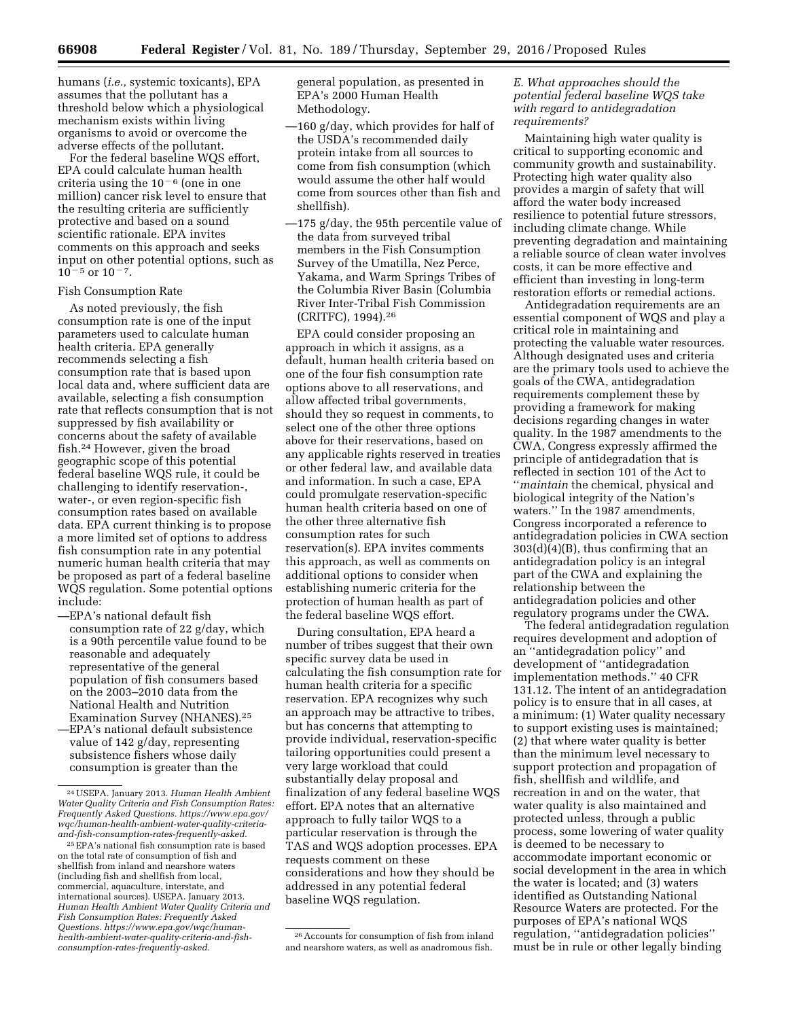humans (*i.e.,* systemic toxicants), EPA assumes that the pollutant has a threshold below which a physiological mechanism exists within living organisms to avoid or overcome the adverse effects of the pollutant.

For the federal baseline WQS effort, EPA could calculate human health criteria using the  $10^{-6}$  (one in one million) cancer risk level to ensure that the resulting criteria are sufficiently protective and based on a sound scientific rationale. EPA invites comments on this approach and seeks input on other potential options, such as  $10^{-5}$  or  $10^{-7}$ .

### Fish Consumption Rate

As noted previously, the fish consumption rate is one of the input parameters used to calculate human health criteria. EPA generally recommends selecting a fish consumption rate that is based upon local data and, where sufficient data are available, selecting a fish consumption rate that reflects consumption that is not suppressed by fish availability or concerns about the safety of available fish.24 However, given the broad geographic scope of this potential federal baseline WQS rule, it could be challenging to identify reservation-, water-, or even region-specific fish consumption rates based on available data. EPA current thinking is to propose a more limited set of options to address fish consumption rate in any potential numeric human health criteria that may be proposed as part of a federal baseline WQS regulation. Some potential options include:

- —EPA's national default fish consumption rate of 22 g/day, which is a 90th percentile value found to be reasonable and adequately representative of the general population of fish consumers based on the 2003–2010 data from the National Health and Nutrition Examination Survey (NHANES).25
- —EPA's national default subsistence value of 142 g/day, representing subsistence fishers whose daily consumption is greater than the

general population, as presented in EPA's 2000 Human Health Methodology.

- —160 g/day, which provides for half of the USDA's recommended daily protein intake from all sources to come from fish consumption (which would assume the other half would come from sources other than fish and shellfish).
- —175 g/day, the 95th percentile value of the data from surveyed tribal members in the Fish Consumption Survey of the Umatilla, Nez Perce, Yakama, and Warm Springs Tribes of the Columbia River Basin (Columbia River Inter-Tribal Fish Commission (CRITFC), 1994).26

EPA could consider proposing an approach in which it assigns, as a default, human health criteria based on one of the four fish consumption rate options above to all reservations, and allow affected tribal governments, should they so request in comments, to select one of the other three options above for their reservations, based on any applicable rights reserved in treaties or other federal law, and available data and information. In such a case, EPA could promulgate reservation-specific human health criteria based on one of the other three alternative fish consumption rates for such reservation(s). EPA invites comments this approach, as well as comments on additional options to consider when establishing numeric criteria for the protection of human health as part of the federal baseline WQS effort.

During consultation, EPA heard a number of tribes suggest that their own specific survey data be used in calculating the fish consumption rate for human health criteria for a specific reservation. EPA recognizes why such an approach may be attractive to tribes, but has concerns that attempting to provide individual, reservation-specific tailoring opportunities could present a very large workload that could substantially delay proposal and finalization of any federal baseline WQS effort. EPA notes that an alternative approach to fully tailor WQS to a particular reservation is through the TAS and WQS adoption processes. EPA requests comment on these considerations and how they should be addressed in any potential federal baseline WQS regulation.

### *E. What approaches should the potential federal baseline WQS take with regard to antidegradation requirements?*

Maintaining high water quality is critical to supporting economic and community growth and sustainability. Protecting high water quality also provides a margin of safety that will afford the water body increased resilience to potential future stressors, including climate change. While preventing degradation and maintaining a reliable source of clean water involves costs, it can be more effective and efficient than investing in long-term restoration efforts or remedial actions.

Antidegradation requirements are an essential component of WQS and play a critical role in maintaining and protecting the valuable water resources. Although designated uses and criteria are the primary tools used to achieve the goals of the CWA, antidegradation requirements complement these by providing a framework for making decisions regarding changes in water quality. In the 1987 amendments to the CWA, Congress expressly affirmed the principle of antidegradation that is reflected in section 101 of the Act to ''*maintain* the chemical, physical and biological integrity of the Nation's waters.'' In the 1987 amendments, Congress incorporated a reference to antidegradation policies in CWA section 303(d)(4)(B), thus confirming that an antidegradation policy is an integral part of the CWA and explaining the relationship between the antidegradation policies and other regulatory programs under the CWA.

The federal antidegradation regulation requires development and adoption of an ''antidegradation policy'' and development of ''antidegradation implementation methods.'' 40 CFR 131.12. The intent of an antidegradation policy is to ensure that in all cases, at a minimum: (1) Water quality necessary to support existing uses is maintained; (2) that where water quality is better than the minimum level necessary to support protection and propagation of fish, shellfish and wildlife, and recreation in and on the water, that water quality is also maintained and protected unless, through a public process, some lowering of water quality is deemed to be necessary to accommodate important economic or social development in the area in which the water is located; and (3) waters identified as Outstanding National Resource Waters are protected. For the purposes of EPA's national WQS regulation, ''antidegradation policies'' must be in rule or other legally binding

<sup>24</sup>USEPA. January 2013. *Human Health Ambient Water Quality Criteria and Fish Consumption Rates: Frequently Asked Questions. [https://www.epa.gov/](https://www.epa.gov/wqc/human-health-ambient-water-quality-criteria-and-fish-consumption-rates-frequently-asked) [wqc/human-health-ambient-water-quality-criteria](https://www.epa.gov/wqc/human-health-ambient-water-quality-criteria-and-fish-consumption-rates-frequently-asked)[and-fish-consumption-rates-frequently-asked.](https://www.epa.gov/wqc/human-health-ambient-water-quality-criteria-and-fish-consumption-rates-frequently-asked)* 

<sup>25</sup>EPA's national fish consumption rate is based on the total rate of consumption of fish and shellfish from inland and nearshore waters (including fish and shellfish from local, commercial, aquaculture, interstate, and international sources). USEPA. January 2013. *Human Health Ambient Water Quality Criteria and Fish Consumption Rates: Frequently Asked Questions. [https://www.epa.gov/wqc/human](https://www.epa.gov/wqc/human-health-ambient-water-quality-criteria-and-fish-consumption-rates-frequently-asked)[health-ambient-water-quality-criteria-and-fish](https://www.epa.gov/wqc/human-health-ambient-water-quality-criteria-and-fish-consumption-rates-frequently-asked)[consumption-rates-frequently-asked.](https://www.epa.gov/wqc/human-health-ambient-water-quality-criteria-and-fish-consumption-rates-frequently-asked)* 

<sup>26</sup>Accounts for consumption of fish from inland and nearshore waters, as well as anadromous fish.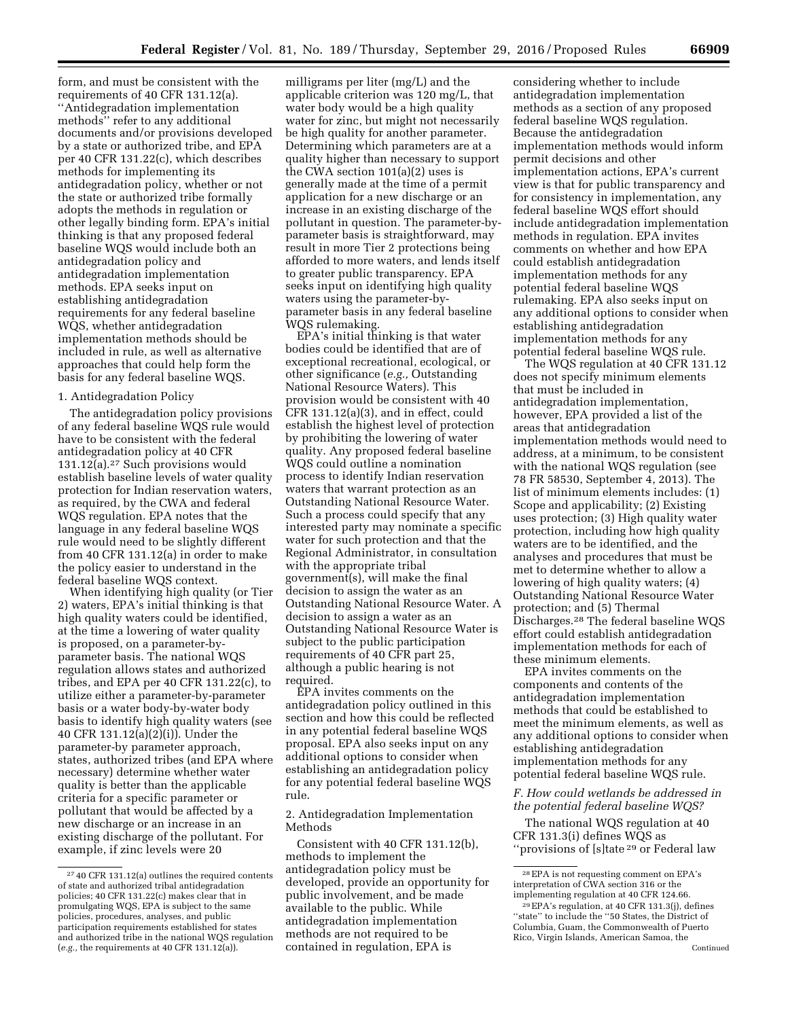form, and must be consistent with the requirements of 40 CFR 131.12(a). ''Antidegradation implementation methods'' refer to any additional documents and/or provisions developed by a state or authorized tribe, and EPA per 40 CFR 131.22(c), which describes methods for implementing its antidegradation policy, whether or not the state or authorized tribe formally adopts the methods in regulation or other legally binding form. EPA's initial thinking is that any proposed federal baseline WQS would include both an antidegradation policy and antidegradation implementation methods. EPA seeks input on establishing antidegradation requirements for any federal baseline WQS, whether antidegradation implementation methods should be included in rule, as well as alternative approaches that could help form the basis for any federal baseline WQS.

### 1. Antidegradation Policy

The antidegradation policy provisions of any federal baseline WQS rule would have to be consistent with the federal antidegradation policy at 40 CFR  $131.12(a)$ .<sup>27</sup> Such provisions would establish baseline levels of water quality protection for Indian reservation waters, as required, by the CWA and federal WQS regulation. EPA notes that the language in any federal baseline WQS rule would need to be slightly different from 40 CFR 131.12(a) in order to make the policy easier to understand in the federal baseline WQS context.

When identifying high quality (or Tier 2) waters, EPA's initial thinking is that high quality waters could be identified, at the time a lowering of water quality is proposed, on a parameter-byparameter basis. The national WQS regulation allows states and authorized tribes, and EPA per 40 CFR 131.22(c), to utilize either a parameter-by-parameter basis or a water body-by-water body basis to identify high quality waters (see 40 CFR 131.12(a)(2)(i)). Under the parameter-by parameter approach, states, authorized tribes (and EPA where necessary) determine whether water quality is better than the applicable criteria for a specific parameter or pollutant that would be affected by a new discharge or an increase in an existing discharge of the pollutant. For example, if zinc levels were 20

milligrams per liter (mg/L) and the applicable criterion was 120 mg/L, that water body would be a high quality water for zinc, but might not necessarily be high quality for another parameter. Determining which parameters are at a quality higher than necessary to support the CWA section 101(a)(2) uses is generally made at the time of a permit application for a new discharge or an increase in an existing discharge of the pollutant in question. The parameter-byparameter basis is straightforward, may result in more Tier 2 protections being afforded to more waters, and lends itself to greater public transparency. EPA seeks input on identifying high quality waters using the parameter-byparameter basis in any federal baseline WQS rulemaking.

EPA's initial thinking is that water bodies could be identified that are of exceptional recreational, ecological, or other significance (*e.g.,* Outstanding National Resource Waters). This provision would be consistent with 40 CFR 131.12(a)(3), and in effect, could establish the highest level of protection by prohibiting the lowering of water quality. Any proposed federal baseline WQS could outline a nomination process to identify Indian reservation waters that warrant protection as an Outstanding National Resource Water. Such a process could specify that any interested party may nominate a specific water for such protection and that the Regional Administrator, in consultation with the appropriate tribal government(s), will make the final decision to assign the water as an Outstanding National Resource Water. A decision to assign a water as an Outstanding National Resource Water is subject to the public participation requirements of 40 CFR part 25, although a public hearing is not required.

EPA invites comments on the antidegradation policy outlined in this section and how this could be reflected in any potential federal baseline WQS proposal. EPA also seeks input on any additional options to consider when establishing an antidegradation policy for any potential federal baseline WQS rule.

## 2. Antidegradation Implementation Methods

Consistent with 40 CFR 131.12(b), methods to implement the antidegradation policy must be developed, provide an opportunity for public involvement, and be made available to the public. While antidegradation implementation methods are not required to be contained in regulation, EPA is

considering whether to include antidegradation implementation methods as a section of any proposed federal baseline WQS regulation. Because the antidegradation implementation methods would inform permit decisions and other implementation actions, EPA's current view is that for public transparency and for consistency in implementation, any federal baseline WQS effort should include antidegradation implementation methods in regulation. EPA invites comments on whether and how EPA could establish antidegradation implementation methods for any potential federal baseline WQS rulemaking. EPA also seeks input on any additional options to consider when establishing antidegradation implementation methods for any potential federal baseline WQS rule.

The WQS regulation at 40 CFR 131.12 does not specify minimum elements that must be included in antidegradation implementation, however, EPA provided a list of the areas that antidegradation implementation methods would need to address, at a minimum, to be consistent with the national WQS regulation (see 78 FR 58530, September 4, 2013). The list of minimum elements includes: (1) Scope and applicability; (2) Existing uses protection; (3) High quality water protection, including how high quality waters are to be identified, and the analyses and procedures that must be met to determine whether to allow a lowering of high quality waters; (4) Outstanding National Resource Water protection; and (5) Thermal Discharges.28 The federal baseline WQS effort could establish antidegradation implementation methods for each of these minimum elements.

EPA invites comments on the components and contents of the antidegradation implementation methods that could be established to meet the minimum elements, as well as any additional options to consider when establishing antidegradation implementation methods for any potential federal baseline WQS rule.

*F. How could wetlands be addressed in the potential federal baseline WQS?* 

The national WQS regulation at 40 CFR 131.3(i) defines WQS as ''provisions of [s]tate 29 or Federal law

<sup>27</sup> 40 CFR 131.12(a) outlines the required contents of state and authorized tribal antidegradation policies; 40 CFR 131.22(c) makes clear that in promulgating WQS, EPA is subject to the same policies, procedures, analyses, and public participation requirements established for states and authorized tribe in the national WQS regulation (*e.g.,* the requirements at 40 CFR 131.12(a)).

<sup>28</sup>EPA is not requesting comment on EPA's interpretation of CWA section 316 or the implementing regulation at 40 CFR 124.66.

<sup>29</sup>EPA's regulation, at 40 CFR 131.3(j), defines ''state'' to include the ''50 States, the District of Columbia, Guam, the Commonwealth of Puerto Rico, Virgin Islands, American Samoa, the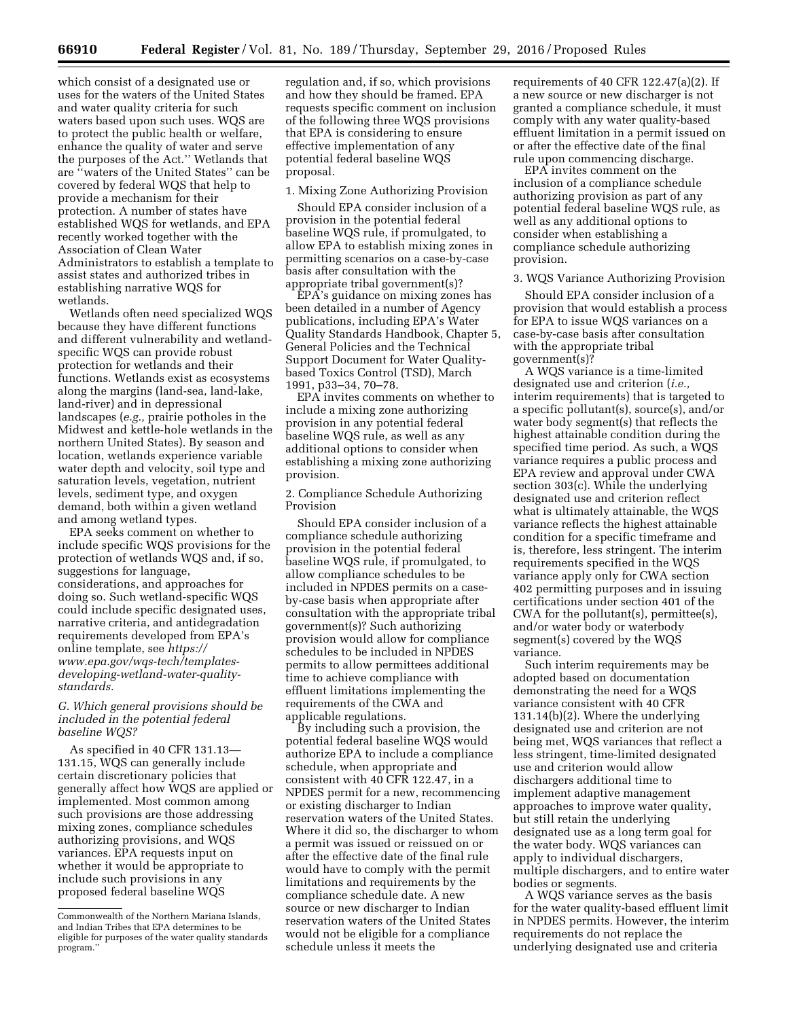which consist of a designated use or uses for the waters of the United States and water quality criteria for such waters based upon such uses. WQS are to protect the public health or welfare, enhance the quality of water and serve the purposes of the Act.'' Wetlands that are ''waters of the United States'' can be covered by federal WQS that help to provide a mechanism for their protection. A number of states have established WQS for wetlands, and EPA recently worked together with the Association of Clean Water Administrators to establish a template to assist states and authorized tribes in establishing narrative WQS for wetlands.

Wetlands often need specialized WQS because they have different functions and different vulnerability and wetlandspecific WQS can provide robust protection for wetlands and their functions. Wetlands exist as ecosystems along the margins (land-sea, land-lake, land-river) and in depressional landscapes (*e.g.,* prairie potholes in the Midwest and kettle-hole wetlands in the northern United States). By season and location, wetlands experience variable water depth and velocity, soil type and saturation levels, vegetation, nutrient levels, sediment type, and oxygen demand, both within a given wetland and among wetland types.

EPA seeks comment on whether to include specific WQS provisions for the protection of wetlands WQS and, if so, suggestions for language, considerations, and approaches for doing so. Such wetland-specific WQS could include specific designated uses, narrative criteria, and antidegradation requirements developed from EPA's online template, see *[https://](https://www.epa.gov/wqs-tech/templates-developing-wetland-water-quality-standards) [www.epa.gov/wqs-tech/templates](https://www.epa.gov/wqs-tech/templates-developing-wetland-water-quality-standards)[developing-wetland-water-quality](https://www.epa.gov/wqs-tech/templates-developing-wetland-water-quality-standards)[standards.](https://www.epa.gov/wqs-tech/templates-developing-wetland-water-quality-standards)* 

### *G. Which general provisions should be included in the potential federal baseline WQS?*

As specified in 40 CFR 131.13— 131.15, WQS can generally include certain discretionary policies that generally affect how WQS are applied or implemented. Most common among such provisions are those addressing mixing zones, compliance schedules authorizing provisions, and WQS variances. EPA requests input on whether it would be appropriate to include such provisions in any proposed federal baseline WQS

regulation and, if so, which provisions and how they should be framed. EPA requests specific comment on inclusion of the following three WQS provisions that EPA is considering to ensure effective implementation of any potential federal baseline WQS proposal.

#### 1. Mixing Zone Authorizing Provision

Should EPA consider inclusion of a provision in the potential federal baseline WQS rule, if promulgated, to allow EPA to establish mixing zones in permitting scenarios on a case-by-case basis after consultation with the appropriate tribal government(s)?

EPA's guidance on mixing zones has been detailed in a number of Agency publications, including EPA's Water Quality Standards Handbook, Chapter 5, General Policies and the Technical Support Document for Water Qualitybased Toxics Control (TSD), March 1991, p33–34, 70–78.

EPA invites comments on whether to include a mixing zone authorizing provision in any potential federal baseline WQS rule, as well as any additional options to consider when establishing a mixing zone authorizing provision.

2. Compliance Schedule Authorizing Provision

Should EPA consider inclusion of a compliance schedule authorizing provision in the potential federal baseline WQS rule, if promulgated, to allow compliance schedules to be included in NPDES permits on a caseby-case basis when appropriate after consultation with the appropriate tribal government(s)? Such authorizing provision would allow for compliance schedules to be included in NPDES permits to allow permittees additional time to achieve compliance with effluent limitations implementing the requirements of the CWA and applicable regulations.

By including such a provision, the potential federal baseline WQS would authorize EPA to include a compliance schedule, when appropriate and consistent with 40 CFR 122.47, in a NPDES permit for a new, recommencing or existing discharger to Indian reservation waters of the United States. Where it did so, the discharger to whom a permit was issued or reissued on or after the effective date of the final rule would have to comply with the permit limitations and requirements by the compliance schedule date. A new source or new discharger to Indian reservation waters of the United States would not be eligible for a compliance schedule unless it meets the

requirements of 40 CFR 122.47(a)(2). If a new source or new discharger is not granted a compliance schedule, it must comply with any water quality-based effluent limitation in a permit issued on or after the effective date of the final rule upon commencing discharge.

EPA invites comment on the inclusion of a compliance schedule authorizing provision as part of any potential federal baseline WQS rule, as well as any additional options to consider when establishing a compliance schedule authorizing provision.

### 3. WQS Variance Authorizing Provision

Should EPA consider inclusion of a provision that would establish a process for EPA to issue WQS variances on a case-by-case basis after consultation with the appropriate tribal government(s)?

A WQS variance is a time-limited designated use and criterion (*i.e.,*  interim requirements) that is targeted to a specific pollutant(s), source(s), and/or water body segment(s) that reflects the highest attainable condition during the specified time period. As such, a WQS variance requires a public process and EPA review and approval under CWA section 303(c). While the underlying designated use and criterion reflect what is ultimately attainable, the WQS variance reflects the highest attainable condition for a specific timeframe and is, therefore, less stringent. The interim requirements specified in the WQS variance apply only for CWA section 402 permitting purposes and in issuing certifications under section 401 of the CWA for the pollutant(s), permittee(s), and/or water body or waterbody segment(s) covered by the WQS variance.

Such interim requirements may be adopted based on documentation demonstrating the need for a WQS variance consistent with 40 CFR 131.14(b)(2). Where the underlying designated use and criterion are not being met, WQS variances that reflect a less stringent, time-limited designated use and criterion would allow dischargers additional time to implement adaptive management approaches to improve water quality, but still retain the underlying designated use as a long term goal for the water body. WQS variances can apply to individual dischargers, multiple dischargers, and to entire water bodies or segments.

A WQS variance serves as the basis for the water quality-based effluent limit in NPDES permits. However, the interim requirements do not replace the underlying designated use and criteria

Commonwealth of the Northern Mariana Islands, and Indian Tribes that EPA determines to be eligible for purposes of the water quality standards program.''